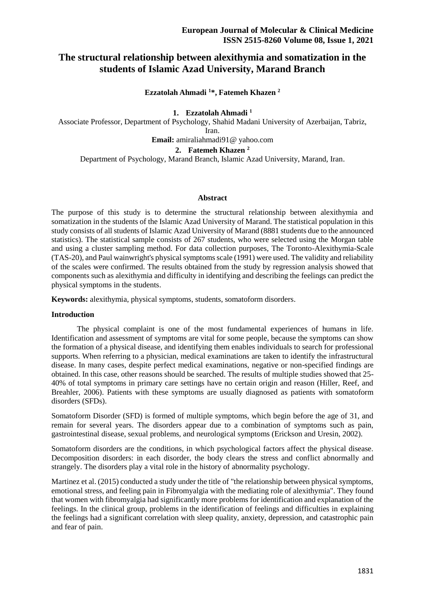# **The structural relationship between alexithymia and somatization in the students of Islamic Azad University, Marand Branch**

## **Ezzatolah Ahmadi <sup>1</sup>\*, Fatemeh Khazen <sup>2</sup>**

**1. Ezzatolah Ahmadi <sup>1</sup>**

Associate Professor, Department of Psychology, Shahid Madani University of Azerbaijan, Tabriz,

Iran.

**Email:** amiraliahmadi91@ yahoo.com

**2. Fatemeh Khazen <sup>2</sup>**

Department of Psychology, Marand Branch, Islamic Azad University, Marand, Iran.

### **Abstract**

The purpose of this study is to determine the structural relationship between alexithymia and somatization in the students of the Islamic Azad University of Marand. The statistical population in this study consists of all students of Islamic Azad University of Marand (8881 students due to the announced statistics). The statistical sample consists of 267 students, who were selected using the Morgan table and using a cluster sampling method. For data collection purposes, The Toronto-Alexithymia-Scale (TAS-20), and Paul wainwright's physical symptoms scale (1991) were used. The validity and reliability of the scales were confirmed. The results obtained from the study by regression analysis showed that components such as alexithymia and difficulty in identifying and describing the feelings can predict the physical symptoms in the students.

**Keywords:** alexithymia, physical symptoms, students, somatoform disorders.

### **Introduction**

 The physical complaint is one of the most fundamental experiences of humans in life. Identification and assessment of symptoms are vital for some people, because the symptoms can show the formation of a physical disease, and identifying them enables individuals to search for professional supports. When referring to a physician, medical examinations are taken to identify the infrastructural disease. In many cases, despite perfect medical examinations, negative or non-specified findings are obtained. In this case, other reasons should be searched. The results of multiple studies showed that 25- 40% of total symptoms in primary care settings have no certain origin and reason (Hiller, Reef, and Breahler, 2006). Patients with these symptoms are usually diagnosed as patients with somatoform disorders (SFDs).

Somatoform Disorder (SFD) is formed of multiple symptoms, which begin before the age of 31, and remain for several years. The disorders appear due to a combination of symptoms such as pain, gastrointestinal disease, sexual problems, and neurological symptoms (Erickson and Uresin, 2002).

Somatoform disorders are the conditions, in which psychological factors affect the physical disease. Decomposition disorders: in each disorder, the body clears the stress and conflict abnormally and strangely. The disorders play a vital role in the history of abnormality psychology.

Martinez et al. (2015) conducted a study under the title of "the relationship between physical symptoms, emotional stress, and feeling pain in Fibromyalgia with the mediating role of alexithymia". They found that women with fibromyalgia had significantly more problems for identification and explanation of the feelings. In the clinical group, problems in the identification of feelings and difficulties in explaining the feelings had a significant correlation with sleep quality, anxiety, depression, and catastrophic pain and fear of pain.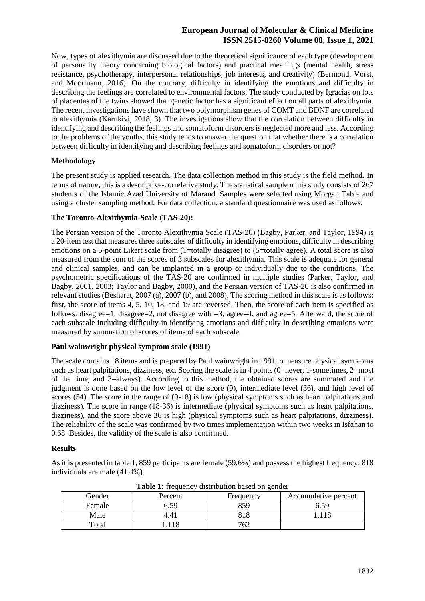Now, types of alexithymia are discussed due to the theoretical significance of each type (development of personality theory concerning biological factors) and practical meanings (mental health, stress resistance, psychotherapy, interpersonal relationships, job interests, and creativity) (Bermond, Vorst, and Moormann, 2016). On the contrary, difficulty in identifying the emotions and difficulty in describing the feelings are correlated to environmental factors. The study conducted by Igracias on lots of placentas of the twins showed that genetic factor has a significant effect on all parts of alexithymia. The recent investigations have shown that two polymorphism genes of COMT and BDNF are correlated to alexithymia (Karukivi, 2018, 3). The investigations show that the correlation between difficulty in identifying and describing the feelings and somatoform disorders is neglected more and less. According to the problems of the youths, this study tends to answer the question that whether there is a correlation between difficulty in identifying and describing feelings and somatoform disorders or not?

### **Methodology**

The present study is applied research. The data collection method in this study is the field method. In terms of nature, this is a descriptive-correlative study. The statistical sample n this study consists of 267 students of the Islamic Azad University of Marand. Samples were selected using Morgan Table and using a cluster sampling method. For data collection, a standard questionnaire was used as follows:

### **The Toronto-Alexithymia-Scale (TAS-20):**

The Persian version of the Toronto Alexithymia Scale (TAS-20) (Bagby, Parker, and Taylor, 1994) is a 20-item test that measures three subscales of difficulty in identifying emotions, difficulty in describing emotions on a 5-point Likert scale from (1=totally disagree) to (5=totally agree). A total score is also measured from the sum of the scores of 3 subscales for alexithymia. This scale is adequate for general and clinical samples, and can be implanted in a group or individually due to the conditions. The psychometric specifications of the TAS-20 are confirmed in multiple studies (Parker, Taylor, and Bagby, 2001, 2003; Taylor and Bagby, 2000), and the Persian version of TAS-20 is also confirmed in relevant studies (Besharat, 2007 (a), 2007 (b), and 2008). The scoring method in this scale is as follows: first, the score of items 4, 5, 10, 18, and 19 are reversed. Then, the score of each item is specified as follows: disagree=1, disagree=2, not disagree with =3, agree=4, and agree=5. Afterward, the score of each subscale including difficulty in identifying emotions and difficulty in describing emotions were measured by summation of scores of items of each subscale.

### **Paul wainwright physical symptom scale (1991)**

The scale contains 18 items and is prepared by Paul wainwright in 1991 to measure physical symptoms such as heart palpitations, dizziness, etc. Scoring the scale is in 4 points (0=never, 1-sometimes, 2=most of the time, and 3=always). According to this method, the obtained scores are summated and the judgment is done based on the low level of the score (0), intermediate level (36), and high level of scores (54). The score in the range of (0-18) is low (physical symptoms such as heart palpitations and dizziness). The score in range (18-36) is intermediate (physical symptoms such as heart palpitations, dizziness), and the score above 36 is high (physical symptoms such as heart palpitations, dizziness). The reliability of the scale was confirmed by two times implementation within two weeks in Isfahan to 0.68. Besides, the validity of the scale is also confirmed.

#### **Results**

As it is presented in table 1, 859 participants are female (59.6%) and possess the highest frequency. 818 individuals are male (41.4%).

|      | <b>Table 1:</b> hequency distribution based on genuer |         |           |                      |  |  |  |  |  |  |
|------|-------------------------------------------------------|---------|-----------|----------------------|--|--|--|--|--|--|
|      | Gender                                                | Percent | Frequency | Accumulative percent |  |  |  |  |  |  |
|      | Female                                                | 6.59    | 859       | 5.59                 |  |  |  |  |  |  |
| Male |                                                       |         | 818       |                      |  |  |  |  |  |  |
|      | Total                                                 |         | 762       |                      |  |  |  |  |  |  |

**Table 1:** frequency distribution based on gender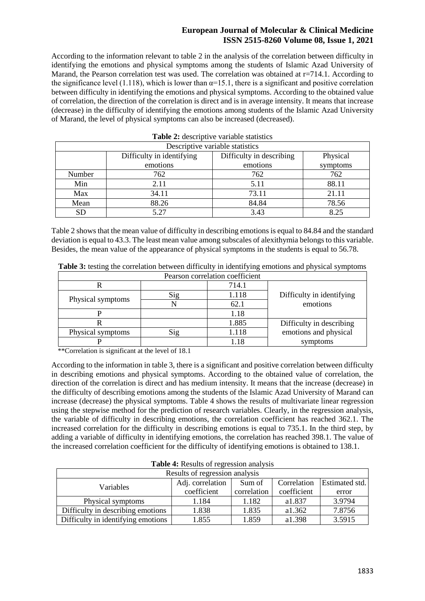According to the information relevant to table 2 in the analysis of the correlation between difficulty in identifying the emotions and physical symptoms among the students of Islamic Azad University of Marand, the Pearson correlation test was used. The correlation was obtained at  $r=714.1$ . According to the significance level (1.118), which is lower than  $\alpha$ =15.1, there is a significant and positive correlation between difficulty in identifying the emotions and physical symptoms. According to the obtained value of correlation, the direction of the correlation is direct and is in average intensity. It means that increase (decrease) in the difficulty of identifying the emotions among students of the Islamic Azad University of Marand, the level of physical symptoms can also be increased (decreased).

| Descriptive variable statistics |                           |                          |          |  |  |  |  |
|---------------------------------|---------------------------|--------------------------|----------|--|--|--|--|
|                                 | Difficulty in identifying | Difficulty in describing | Physical |  |  |  |  |
|                                 | emotions                  | emotions                 | symptoms |  |  |  |  |
| Number                          | 762                       | 762                      | 762      |  |  |  |  |
| Min                             | 2.11                      | 5.11                     | 88.11    |  |  |  |  |
| Max                             | 34.11                     | 73.11                    | 21.11    |  |  |  |  |
| Mean                            | 88.26                     | 84.84                    | 78.56    |  |  |  |  |
| <b>SD</b>                       | 5.27                      | 3.43                     | 8.25     |  |  |  |  |

| Table 2: descriptive variable statistics |  |
|------------------------------------------|--|
|                                          |  |

Table 2 shows that the mean value of difficulty in describing emotions is equal to 84.84 and the standard deviation is equal to 43.3. The least mean value among subscales of alexithymia belongs to this variable. Besides, the mean value of the appearance of physical symptoms in the students is equal to 56.78.

| Pearson correlation coefficient |     |       |                           |  |  |  |  |
|---------------------------------|-----|-------|---------------------------|--|--|--|--|
|                                 |     | 714.1 |                           |  |  |  |  |
|                                 | Sig | 1.118 | Difficulty in identifying |  |  |  |  |
| Physical symptoms               |     | 62.1  | emotions                  |  |  |  |  |
|                                 |     | 1.18  |                           |  |  |  |  |
|                                 |     | 1.885 | Difficulty in describing  |  |  |  |  |
| Physical symptoms               | Sig | 1.118 | emotions and physical     |  |  |  |  |
|                                 |     |       | symptoms                  |  |  |  |  |

**Table 3:** testing the correlation between difficulty in identifying emotions and physical symptoms

\*\*Correlation is significant at the level of 18.1

According to the information in table 3, there is a significant and positive correlation between difficulty in describing emotions and physical symptoms. According to the obtained value of correlation, the direction of the correlation is direct and has medium intensity. It means that the increase (decrease) in the difficulty of describing emotions among the students of the Islamic Azad University of Marand can increase (decrease) the physical symptoms. Table 4 shows the results of multivariate linear regression using the stepwise method for the prediction of research variables. Clearly, in the regression analysis, the variable of difficulty in describing emotions, the correlation coefficient has reached 362.1. The increased correlation for the difficulty in describing emotions is equal to 735.1. In the third step, by adding a variable of difficulty in identifying emotions, the correlation has reached 398.1. The value of the increased correlation coefficient for the difficulty of identifying emotions is obtained to 138.1.

**Table 4:** Results of regression analysis

| Results of regression analysis     |                            |             |             |                       |  |  |  |  |
|------------------------------------|----------------------------|-------------|-------------|-----------------------|--|--|--|--|
| <b>Variables</b>                   | Adj. correlation<br>Sum of |             | Correlation | <b>Estimated std.</b> |  |  |  |  |
|                                    | coefficient                | correlation | coefficient | error                 |  |  |  |  |
| Physical symptoms                  | 1.184                      | 1.182       | a1.837      | 3.9794                |  |  |  |  |
| Difficulty in describing emotions  | 1.838                      | 1.835       | a1.362      | 7.8756                |  |  |  |  |
| Difficulty in identifying emotions | 1.855                      | 1.859       | a1.398      | 3.5915                |  |  |  |  |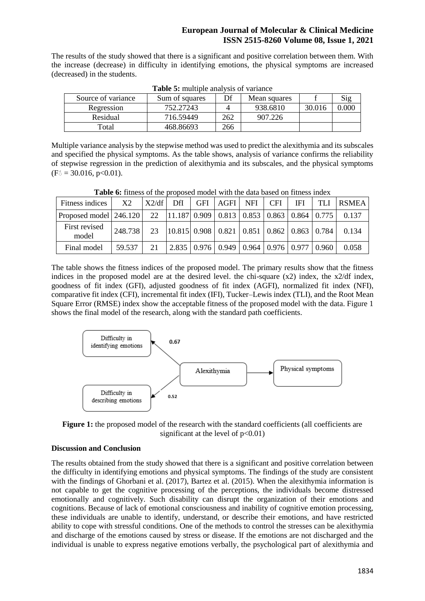The results of the study showed that there is a significant and positive correlation between them. With the increase (decrease) in difficulty in identifying emotions, the physical symptoms are increased (decreased) in the students.

| Source of variance | Sum of squares | Df  | Mean squares |        | Sig   |
|--------------------|----------------|-----|--------------|--------|-------|
| Regression         | 752.27243      |     | 938.6810     | 30.016 | 0.000 |
| Residual           | 716.59449      | 262 | 907.226      |        |       |
|                    |                |     |              |        |       |
| Total              | 468.86693      | 266 |              |        |       |

**Table 5:** multiple analysis of variance

Multiple variance analysis by the stepwise method was used to predict the alexithymia and its subscales and specified the physical symptoms. As the table shows, analysis of variance confirms the reliability of stepwise regression in the prediction of alexithymia and its subscales, and the physical symptoms  $(F_0 = 30.016, p<0.01).$ 

| Fitness indices                                                                                                                                                                                                              | X2      | X2/df | DfI | <b>GFI</b> | AGFI NFI                                                                                     | <b>CFI</b> | <b>IFI</b> | <b>TLI</b> | <b>RSMEA</b> |
|------------------------------------------------------------------------------------------------------------------------------------------------------------------------------------------------------------------------------|---------|-------|-----|------------|----------------------------------------------------------------------------------------------|------------|------------|------------|--------------|
| Proposed model $\begin{vmatrix} 246.120 \\ 22 \end{vmatrix}$ $\begin{vmatrix} 22 \\ 11.187 \\ 0.909 \end{vmatrix}$ 0.813 $\begin{vmatrix} 0.853 \\ 0.863 \end{vmatrix}$ 0.864 $\begin{vmatrix} 0.775 \\ 0.775 \end{vmatrix}$ |         |       |     |            |                                                                                              |            |            |            | 0.137        |
| First revised<br>model                                                                                                                                                                                                       | 248.738 | 23    |     |            | $\vert 10.815 \vert 0.908 \vert 0.821 \vert 0.851 \vert 0.862 \vert 0.863 \vert 0.784 \vert$ |            |            |            | 0.134        |
| Final model                                                                                                                                                                                                                  | 59.537  | - 21  |     |            | $\vert 2.835 \vert 0.976 \vert 0.949 \vert 0.964 \vert 0.976 \vert 0.977 \vert 0.960 \vert$  |            |            |            | 0.058        |

**Table 6:** fitness of the proposed model with the data based on fitness index

The table shows the fitness indices of the proposed model. The primary results show that the fitness indices in the proposed model are at the desired level. the chi-square  $(x2)$  index, the  $x2/df$  index, goodness of fit index (GFI), adjusted goodness of fit index (AGFI), normalized fit index (NFI), comparative fit index (CFI), incremental fit index (IFI), Tucker–Lewis index (TLI), and the Root Mean Square Error (RMSE) index show the acceptable fitness of the proposed model with the data. Figure 1 shows the final model of the research, along with the standard path coefficients.



**Figure 1:** the proposed model of the research with the standard coefficients (all coefficients are significant at the level of  $p<0.01$ )

## **Discussion and Conclusion**

The results obtained from the study showed that there is a significant and positive correlation between the difficulty in identifying emotions and physical symptoms. The findings of the study are consistent with the findings of Ghorbani et al. (2017), Bartez et al. (2015). When the alexithymia information is not capable to get the cognitive processing of the perceptions, the individuals become distressed emotionally and cognitively. Such disability can disrupt the organization of their emotions and cognitions. Because of lack of emotional consciousness and inability of cognitive emotion processing, these individuals are unable to identify, understand, or describe their emotions, and have restricted ability to cope with stressful conditions. One of the methods to control the stresses can be alexithymia and discharge of the emotions caused by stress or disease. If the emotions are not discharged and the individual is unable to express negative emotions verbally, the psychological part of alexithymia and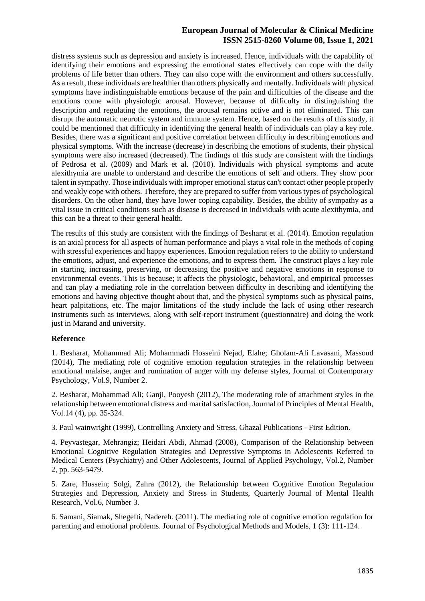distress systems such as depression and anxiety is increased. Hence, individuals with the capability of identifying their emotions and expressing the emotional states effectively can cope with the daily problems of life better than others. They can also cope with the environment and others successfully. As a result, these individuals are healthier than others physically and mentally. Individuals with physical symptoms have indistinguishable emotions because of the pain and difficulties of the disease and the emotions come with physiologic arousal. However, because of difficulty in distinguishing the description and regulating the emotions, the arousal remains active and is not eliminated. This can disrupt the automatic neurotic system and immune system. Hence, based on the results of this study, it could be mentioned that difficulty in identifying the general health of individuals can play a key role. Besides, there was a significant and positive correlation between difficulty in describing emotions and physical symptoms. With the increase (decrease) in describing the emotions of students, their physical symptoms were also increased (decreased). The findings of this study are consistent with the findings of Pedrosa et al. (2009) and Mark et al. (2010). Individuals with physical symptoms and acute alexithymia are unable to understand and describe the emotions of self and others. They show poor talent in sympathy. Those individuals with improper emotional status can't contact other people properly and weakly cope with others. Therefore, they are prepared to suffer from various types of psychological disorders. On the other hand, they have lower coping capability. Besides, the ability of sympathy as a vital issue in critical conditions such as disease is decreased in individuals with acute alexithymia, and this can be a threat to their general health.

The results of this study are consistent with the findings of Besharat et al. (2014). Emotion regulation is an axial process for all aspects of human performance and plays a vital role in the methods of coping with stressful experiences and happy experiences. Emotion regulation refers to the ability to understand the emotions, adjust, and experience the emotions, and to express them. The construct plays a key role in starting, increasing, preserving, or decreasing the positive and negative emotions in response to environmental events. This is because; it affects the physiologic, behavioral, and empirical processes and can play a mediating role in the correlation between difficulty in describing and identifying the emotions and having objective thought about that, and the physical symptoms such as physical pains, heart palpitations, etc. The major limitations of the study include the lack of using other research instruments such as interviews, along with self-report instrument (questionnaire) and doing the work just in Marand and university.

### **Reference**

1. Besharat, Mohammad Ali; Mohammadi Hosseini Nejad, Elahe; Gholam-Ali Lavasani, Massoud (2014), The mediating role of cognitive emotion regulation strategies in the relationship between emotional malaise, anger and rumination of anger with my defense styles, Journal of Contemporary Psychology, Vol.9, Number 2.

2. Besharat, Mohammad Ali; Ganji, Pooyesh (2012), The moderating role of attachment styles in the relationship between emotional distress and marital satisfaction, Journal of Principles of Mental Health, Vol.14 (4), pp. 35-324.

3. Paul wainwright (1999), Controlling Anxiety and Stress, Ghazal Publications - First Edition.

4. Peyvastegar, Mehrangiz; Heidari Abdi, Ahmad (2008), Comparison of the Relationship between Emotional Cognitive Regulation Strategies and Depressive Symptoms in Adolescents Referred to Medical Centers (Psychiatry) and Other Adolescents, Journal of Applied Psychology, Vol.2, Number 2, pp. 563-5479.

5. Zare, Hussein; Solgi, Zahra (2012), the Relationship between Cognitive Emotion Regulation Strategies and Depression, Anxiety and Stress in Students, Quarterly Journal of Mental Health Research, Vol.6, Number 3.

6. Samani, Siamak, Shegefti, Nadereh. (2011). The mediating role of cognitive emotion regulation for parenting and emotional problems. Journal of Psychological Methods and Models, 1 (3): 111-124.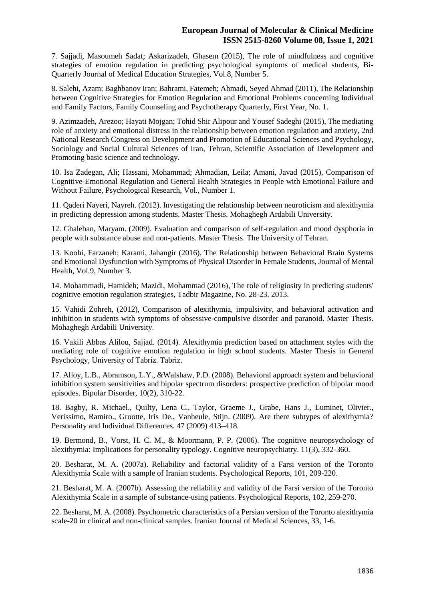7. Sajjadi, Masoumeh Sadat; Askarizadeh, Ghasem (2015), The role of mindfulness and cognitive strategies of emotion regulation in predicting psychological symptoms of medical students, Bi-Quarterly Journal of Medical Education Strategies, Vol.8, Number 5.

8. Salehi, Azam; Baghbanov Iran; Bahrami, Fatemeh; Ahmadi, Seyed Ahmad (2011), The Relationship between Cognitive Strategies for Emotion Regulation and Emotional Problems concerning Individual and Family Factors, Family Counseling and Psychotherapy Quarterly, First Year, No. 1.

9. Azimzadeh, Arezoo; Hayati Mojgan; Tohid Shir Alipour and Yousef Sadeghi (2015), The mediating role of anxiety and emotional distress in the relationship between emotion regulation and anxiety, 2nd National Research Congress on Development and Promotion of Educational Sciences and Psychology, Sociology and Social Cultural Sciences of Iran, Tehran, Scientific Association of Development and Promoting basic science and technology.

10. Isa Zadegan, Ali; Hassani, Mohammad; Ahmadian, Leila; Amani, Javad (2015), Comparison of Cognitive-Emotional Regulation and General Health Strategies in People with Emotional Failure and Without Failure, Psychological Research, Vol., Number 1.

11. Qaderi Nayeri, Nayreh. (2012). Investigating the relationship between neuroticism and alexithymia in predicting depression among students. Master Thesis. Mohaghegh Ardabili University.

12. Ghaleban, Maryam. (2009). Evaluation and comparison of self-regulation and mood dysphoria in people with substance abuse and non-patients. Master Thesis. The University of Tehran.

13. Koohi, Farzaneh; Karami, Jahangir (2016), The Relationship between Behavioral Brain Systems and Emotional Dysfunction with Symptoms of Physical Disorder in Female Students, Journal of Mental Health, Vol.9, Number 3.

14. Mohammadi, Hamideh; Mazidi, Mohammad (2016), The role of religiosity in predicting students' cognitive emotion regulation strategies, Tadbir Magazine, No. 28-23, 2013.

15. Vahidi Zohreh, (2012), Comparison of alexithymia, impulsivity, and behavioral activation and inhibition in students with symptoms of obsessive-compulsive disorder and paranoid. Master Thesis. Mohaghegh Ardabili University.

16. Vakili Abbas Alilou, Sajjad. (2014). Alexithymia prediction based on attachment styles with the mediating role of cognitive emotion regulation in high school students. Master Thesis in General Psychology, University of Tabriz. Tabriz.

17. Alloy, L.B., Abramson, L.Y., &Walshaw, P.D. (2008). Behavioral approach system and behavioral inhibition system sensitivities and bipolar spectrum disorders: prospective prediction of bipolar mood episodes. Bipolar Disorder, 10(2), 310-22.

18. Bagby, R. Michael., Quilty, Lena C., Taylor, Graeme J., Grabe, Hans J., Luminet, Olivier., Verissimo, Ramiro., Grootte, Iris De., Vanheule, Stijn. (2009). Are there subtypes of alexithymia? Personality and Individual Differences. 47 (2009) 413–418.

19. Bermond, B., Vorst, H. C. M., & Moormann, P. P. (2006). The cognitive neuropsychology of alexithymia: Implications for personality typology. Cognitive neuropsychiatry. 11(3), 332-360.

20. Besharat, M. A. (2007a). Reliability and factorial validity of a Farsi version of the Toronto Alexithymia Scale with a sample of Iranian students. Psychological Reports, 101, 209-220.

21. Besharat, M. A. (2007b). Assessing the reliability and validity of the Farsi version of the Toronto Alexithymia Scale in a sample of substance-using patients. Psychological Reports, 102, 259-270.

22. Besharat, M. A. (2008). Psychometric characteristics of a Persian version of the Toronto alexithymia scale-20 in clinical and non-clinical samples. Iranian Journal of Medical Sciences, 33, 1-6.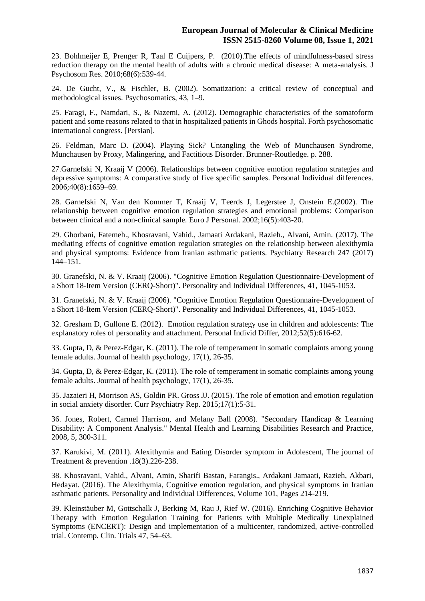23. Bohlmeijer E, Prenger R, Taal E Cuijpers, P. (2010).The effects of mindfulness-based stress reduction therapy on the mental health of adults with a chronic medical disease: A meta-analysis. J Psychosom Res. 2010;68(6):539-44.

24. De Gucht, V., & Fischler, B. (2002). Somatization: a critical review of conceptual and methodological issues. Psychosomatics, 43, 1–9.

25. Faragi, F., Namdari, S., & Nazemi, A. (2012). Demographic characteristics of the somatoform patient and some reasons related to that in hospitalized patients in Ghods hospital. Forth psychosomatic international congress. [Persian].

26. Feldman, Marc D. (2004). Playing Sick? Untangling the Web of Munchausen Syndrome, Munchausen by Proxy, Malingering, and Factitious Disorder. Brunner-Routledge. p. 288.

27.Garnefski N, Kraaij V (2006). Relationships between cognitive emotion regulation strategies and depressive symptoms: A comparative study of five specific samples. Personal Individual differences. 2006;40(8):1659–69.

28. Garnefski N, Van den Kommer T, Kraaij V, Teerds J, Legerstee J, Onstein E.(2002). The relationship between cognitive emotion regulation strategies and emotional problems: Comparison between clinical and a non-clinical sample. Euro J Personal. 2002;16(5):403-20.

29. Ghorbani, Fatemeh., Khosravani, Vahid., Jamaati Ardakani, Razieh., Alvani, Amin. (2017). The mediating effects of cognitive emotion regulation strategies on the relationship between alexithymia and physical symptoms: Evidence from Iranian asthmatic patients. Psychiatry Research 247 (2017) 144–151.

30. Granefski, N. & V. Kraaij (2006). "Cognitive Emotion Regulation Questionnaire-Development of a Short 18-Item Version (CERQ-Short)". Personality and Individual Differences, 41, 1045-1053.

31. Granefski, N. & V. Kraaij (2006). "Cognitive Emotion Regulation Questionnaire-Development of a Short 18-Item Version (CERQ-Short)". Personality and Individual Differences, 41, 1045-1053.

32. Gresham D, Gullone E. (2012). Emotion regulation strategy use in children and adolescents: The explanatory roles of personality and attachment. Personal Individ Differ, 2012;52(5):616-62.

33. Gupta, D, & Perez-Edgar, K. (2011). The role of temperament in somatic complaints among young female adults. Journal of health psychology, 17(1), 26-35.

34. Gupta, D, & Perez-Edgar, K. (2011). The role of temperament in somatic complaints among young female adults. Journal of health psychology, 17(1), 26-35.

35. Jazaieri H, Morrison AS, Goldin PR. Gross JJ. (2015). The role of emotion and emotion regulation in social anxiety disorder. Curr Psychiatry Rep. 2015;17(1):5-31.

36. Jones, Robert, Carmel Harrison, and Melany Ball (2008). "Secondary Handicap & Learning Disability: A Component Analysis." Mental Health and Learning Disabilities Research and Practice, 2008, 5, 300-311.

37. Karukivi, M. (2011). Alexithymia and Eating Disorder symptom in Adolescent, The journal of Treatment & prevention .18(3).226-238.

38. Khosravani, Vahid., Alvani, Amin, Sharifi Bastan, Farangis., Ardakani Jamaati, Razieh, Akbari, Hedayat. (2016). The Alexithymia, Cognitive emotion regulation, and physical symptoms in Iranian asthmatic patients. Personality and Individual Differences, Volume 101, Pages 214-219.

39. Kleinstäuber M, Gottschalk J, Berking M, Rau J, Rief W. (2016). Enriching Cognitive Behavior Therapy with Emotion Regulation Training for Patients with Multiple Medically Unexplained Symptoms (ENCERT): Design and implementation of a multicenter, randomized, active-controlled trial. Contemp. Clin. Trials 47, 54–63.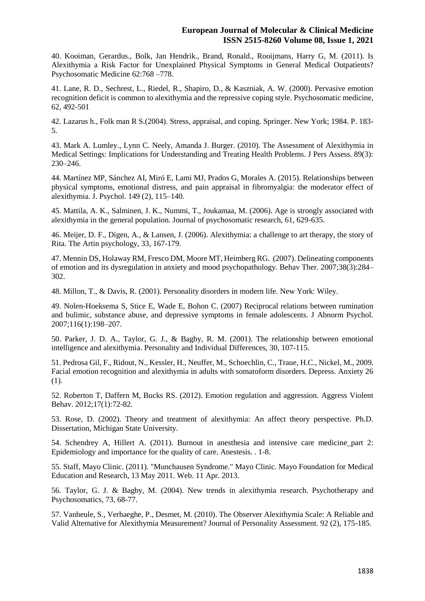40. Kooiman, Gerardus., Bolk, Jan Hendrik., Brand, Ronald., Rooijmans, Harry G, M. (2011). Is Alexithymia a Risk Factor for Unexplained Physical Symptoms in General Medical Outpatients? Psychosomatic Medicine 62:768 –778.

41. Lane, R. D., Sechrest, L., Riedel, R., Shapiro, D., & Kaszniak, A. W. (2000). Pervasive emotion recognition deficit is common to alexithymia and the repressive coping style. Psychosomatic medicine, 62, 492-501

42. Lazarus h., Folk man R S.(2004). Stress, appraisal, and coping. Springer. New York; 1984. P. 183- 5.

43. Mark A. Lumley., Lynn C. Neely, Amanda J. Burger. (2010). The Assessment of Alexithymia in Medical Settings: Implications for Understanding and Treating Health Problems. J Pers Assess. 89(3): 230–246.

44. Martínez MP, Sánchez AI, Miró E, Lami MJ, Prados G, Morales A. (2015). Relationships between physical symptoms, emotional distress, and pain appraisal in fibromyalgia: the moderator effect of alexithymia. J. Psychol. 149 (2), 115–140.

45. Mattila, A. K., Salminen, J. K., Nummi, T., Joukamaa, M. (2006). Age is strongly associated with alexithymia in the general population. Journal of psychosomatic research, 61, 629-635.

46. Meijer, D. F., Digen, A., & Lansen, J. (2006). Alexithymia: a challenge to art therapy, the story of Rita. The Artin psychology, 33, 167-179.

47. Mennin DS, Holaway RM, Fresco DM, Moore MT, Heimberg RG. (2007). Delineating components of emotion and its dysregulation in anxiety and mood psychopathology. Behav Ther. 2007;38(3):284– 302.

48. Millon, T., & Davis, R. (2001). Personality disorders in modern life. New York: Wiley.

49. Nolen-Hoeksema S, Stice E, Wade E, Bohon C. (2007) Reciprocal relations between rumination and bulimic, substance abuse, and depressive symptoms in female adolescents. J Abnorm Psychol. 2007;116(1):198–207.

50. Parker, J. D. A., Taylor, G. J., & Bagby, R. M. (2001). The relationship between emotional intelligence and alexithymia. Personality and Individual Differences, 30, 107-115.

51. Pedrosa Gil, F., Ridout, N., Kessler, H., Neuffer, M., Schoechlin, C., Traue, H.C., Nickel, M., 2009. Facial emotion recognition and alexithymia in adults with somatoform disorders. Depress. Anxiety 26 (1).

52. Roberton T, Daffern M, Bucks RS. (2012). Emotion regulation and aggression. Aggress Violent Behav. 2012;17(1):72-82.

53. Rose, D. (2002). Theory and treatment of alexithymia: An affect theory perspective. Ph.D. Dissertation, Michigan State University.

54. Schendrey A, Hillert A. (2011). Burnout in anesthesia and intensive care medicine\_part 2: Epidemiology and importance for the quality of care. Anestesis. . 1-8.

55. Staff, Mayo Clinic. (2011). "Munchausen Syndrome." Mayo Clinic. Mayo Foundation for Medical Education and Research, 13 May 2011. Web. 11 Apr. 2013.

56. Taylor, G. J. & Bagby, M. (2004). New trends in alexithymia research. Psychotherapy and Psychosomatics, 73, 68-77.

57. Vanheule, S., Verhaeghe, P., Desmet, M. (2010). The Observer Alexithymia Scale: A Reliable and Valid Alternative for Alexithymia Measurement? Journal of Personality Assessment. 92 (2), 175-185.